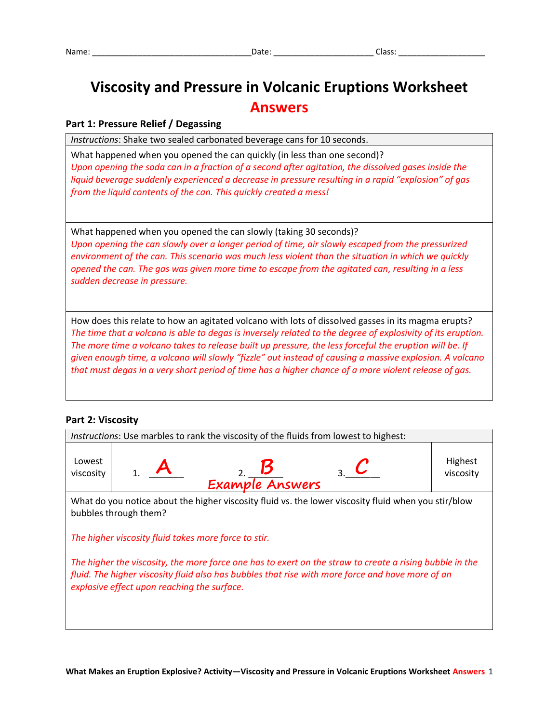# **Viscosity and Pressure in Volcanic Eruptions Worksheet Answers**

# **Part 1: Pressure Relief / Degassing**

*Instructions*: Shake two sealed carbonated beverage cans for 10 seconds.

What happened when you opened the can quickly (in less than one second)? *Upon opening the soda can in a fraction of a second after agitation, the dissolved gases inside the liquid beverage suddenly experienced a decrease in pressure resulting in a rapid "explosion" of gas from the liquid contents of the can. This quickly created a mess!*

What happened when you opened the can slowly (taking 30 seconds)? *Upon opening the can slowly over a longer period of time, air slowly escaped from the pressurized environment of the can. This scenario was much less violent than the situation in which we quickly opened the can. The gas was given more time to escape from the agitated can, resulting in a less sudden decrease in pressure.*

How does this relate to how an agitated volcano with lots of dissolved gasses in its magma erupts? *The time that a volcano is able to degas is inversely related to the degree of explosivity of its eruption. The more time a volcano takes to release built up pressure, the less forceful the eruption will be. If given enough time, a volcano will slowly "fizzle" out instead of causing a massive explosion. A volcano that must degas in a very short period of time has a higher chance of a more violent release of gas.*

### **Part 2: Viscosity**

| Instructions: Use marbles to rank the viscosity of the fluids from lowest to highest:                                                                                                                                                                      |  |  |  |                 |  |  |  |                      |
|------------------------------------------------------------------------------------------------------------------------------------------------------------------------------------------------------------------------------------------------------------|--|--|--|-----------------|--|--|--|----------------------|
| Lowest<br>viscosity                                                                                                                                                                                                                                        |  |  |  | Example Answers |  |  |  | Highest<br>viscosity |
| What do you notice about the higher viscosity fluid vs. the lower viscosity fluid when you stir/blow<br>bubbles through them?                                                                                                                              |  |  |  |                 |  |  |  |                      |
| The higher viscosity fluid takes more force to stir.                                                                                                                                                                                                       |  |  |  |                 |  |  |  |                      |
| The higher the viscosity, the more force one has to exert on the straw to create a rising bubble in the<br>fluid. The higher viscosity fluid also has bubbles that rise with more force and have more of an<br>explosive effect upon reaching the surface. |  |  |  |                 |  |  |  |                      |
|                                                                                                                                                                                                                                                            |  |  |  |                 |  |  |  |                      |